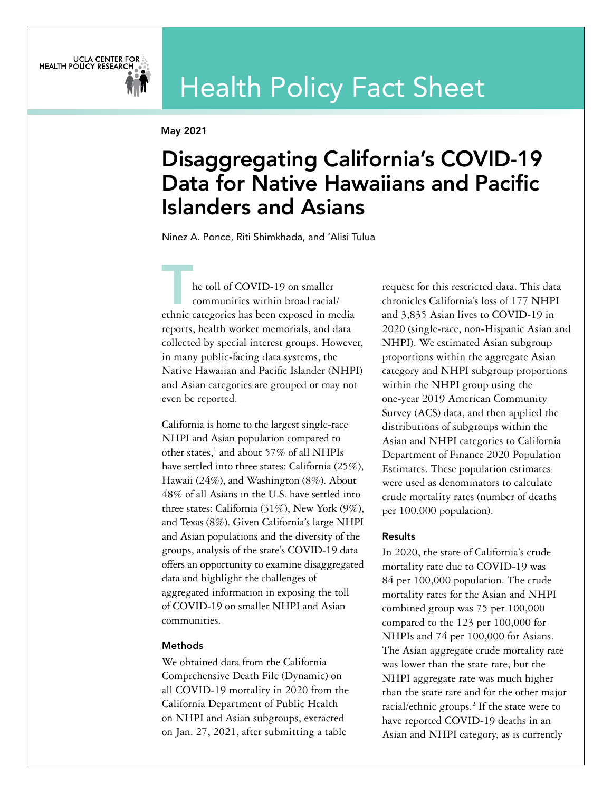# Health Policy Fact Sheet

May 2021

UCLA CENTER FOR

## Disaggregating California's COVID-19 Data for Native Hawaiians and Pacific Islanders and Asians

Ninez A. Ponce, Riti Shimkhada, and 'Alisi Tulua

he toll of COVID-19 on smaller communities within broad racial/ ethnic categories has been exposed in media reports, health worker memorials, and data collected by special interest groups. However, in many public-facing data systems, the Native Hawaiian and Pacific Islander (NHPI) and Asian categories are grouped or may not even be reported.

California is home to the largest single-race NHPI and Asian population compared to other states,<sup>1</sup> and about 57% of all NHPIs have settled into three states: California (25%), Hawaii (24%), and Washington (8%). About 48% of all Asians in the U.S. have settled into three states: California (31%), New York (9%), and Texas (8%). Given California's large NHPI and Asian populations and the diversity of the groups, analysis of the state's COVID-19 data offers an opportunity to examine disaggregated data and highlight the challenges of aggregated information in exposing the toll of COVID-19 on smaller NHPI and Asian communities.

### Methods

We obtained data from the California Comprehensive Death File (Dynamic) on all COVID-19 mortality in 2020 from the California Department of Public Health on NHPI and Asian subgroups, extracted on Jan. 27, 2021, after submitting a table

request for this restricted data. This data chronicles California's loss of 177 NHPI and 3,835 Asian lives to COVID-19 in 2020 (single-race, non-Hispanic Asian and NHPI). We estimated Asian subgroup proportions within the aggregate Asian category and NHPI subgroup proportions within the NHPI group using the one-year 2019 American Community Survey (ACS) data, and then applied the distributions of subgroups within the Asian and NHPI categories to California Department of Finance 2020 Population Estimates. These population estimates were used as denominators to calculate crude mortality rates (number of deaths per 100,000 population).

### Results

In 2020, the state of California's crude mortality rate due to COVID-19 was 84 per 100,000 population. The crude mortality rates for the Asian and NHPI combined group was 75 per 100,000 compared to the 123 per 100,000 for NHPIs and 74 per 100,000 for Asians. The Asian aggregate crude mortality rate was lower than the state rate, but the NHPI aggregate rate was much higher than the state rate and for the other major racial/ethnic groups.<sup>2</sup> If the state were to have reported COVID-19 deaths in an Asian and NHPI category, as is currently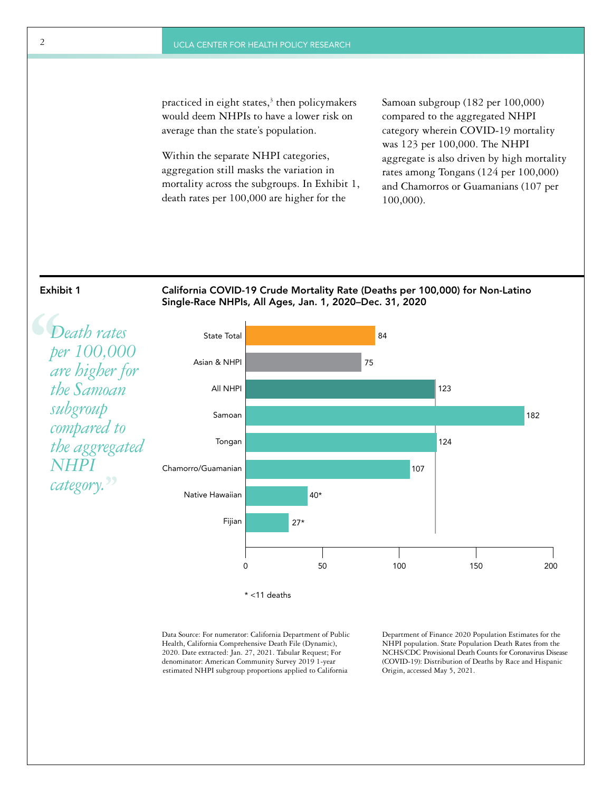practiced in eight states,<sup>3</sup> then policymakers would deem NHPIs to have a lower risk on average than the state's population.

Within the separate NHPI categories, aggregation still masks the variation in mortality across the subgroups. In Exhibit 1, death rates per 100,000 are higher for the

Samoan subgroup (182 per 100,000) compared to the aggregated NHPI category wherein COVID-19 mortality was 123 per 100,000. The NHPI aggregate is also driven by high mortality rates among Tongans (124 per 100,000) and Chamorros or Guamanians (107 per 100,000).



Exhibit 1 California COVID-19 Crude Mortality Rate (Deaths per 100,000) for Non-Latino Single-Race NHPIs, All Ages, Jan. 1, 2020–Dec. 31, 2020

**S**<br>
pe<br>
av<br>
th *Death rates per 100,000 are higher for the Samoan subgroup compared to the aggregated NHPI category.***''**



Data Source: For numerator: California Department of Public Health, California Comprehensive Death File (Dynamic), 2020. Date extracted: Jan. 27, 2021. Tabular Request; For denominator: American Community Survey 2019 1-year estimated NHPI subgroup proportions applied to California

Department of Finance 2020 Population Estimates for the NHPI population. State Population Death Rates from the NCHS/CDC Provisional Death Counts for Coronavirus Disease (COVID-19): Distribution of Deaths by Race and Hispanic Origin, accessed May 5, 2021.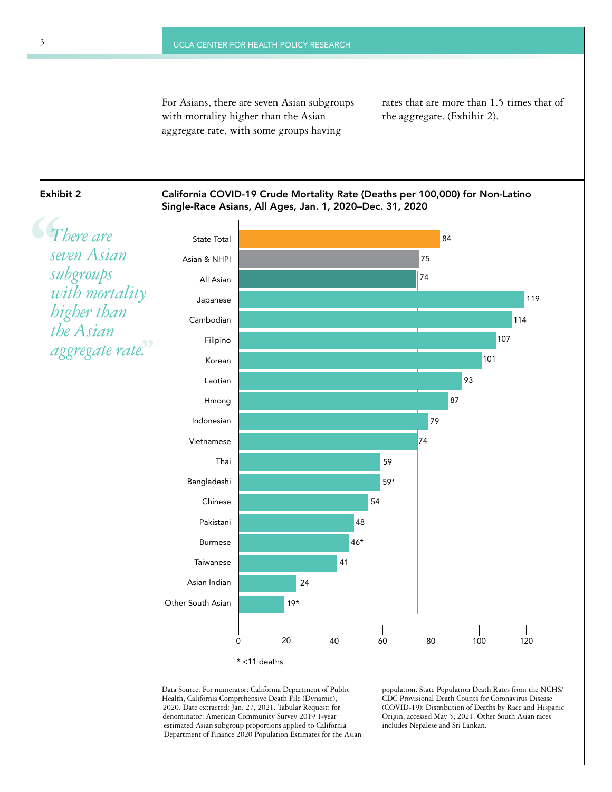For Asians, there are seven Asian subgroups with mortality higher than the Asian aggregate rate, with some groups having

rates that are more than 1.5 times that of the aggregate. (Exhibit 2).

Exhibit 2 California COVID-19 Crude Mortality Rate (Deaths per 100,000) for Non-Latino Single-Race Asians, All Ages, Jan. 1, 2020–Dec. 31, 2020



\* <11 deaths

Data Source: For numerator: California Department of Public Health, California Comprehensive Death File (Dynamic), 2020. Date extracted: Jan. 27, 2021. Tabular Request; for denominator: American Community Survey 2019 1-year estimated Asian subgroup proportions applied to California Department of Finance 2020 Population Estimates for the Asian population. State Population Death Rates from the NCHS/ CDC Provisional Death Counts for Coronavirus Disease (COVID-19): Distribution of Deaths by Race and Hispanic Origin, accessed May 5, 2021. Other South Asian races includes Nepalese and Sri Lankan.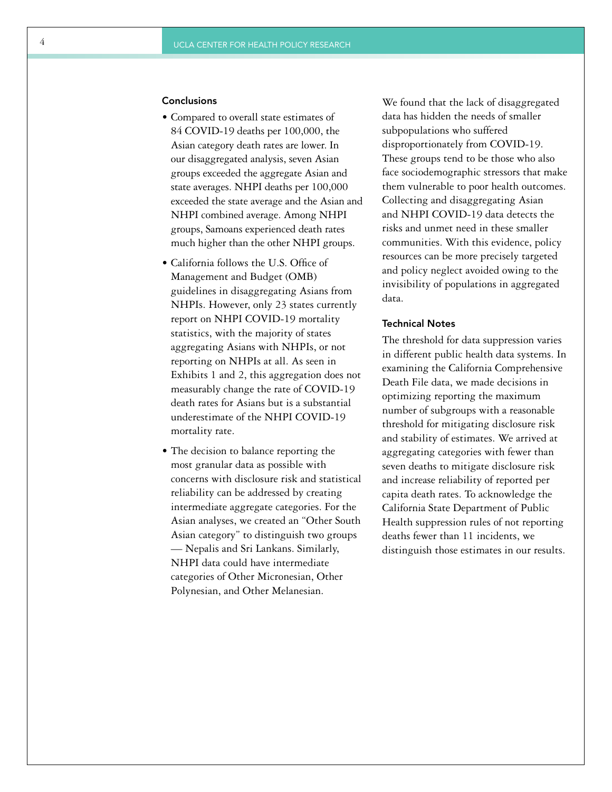#### **Conclusions**

- Compared to overall state estimates of 84 COVID-19 deaths per 100,000, the Asian category death rates are lower. In our disaggregated analysis, seven Asian groups exceeded the aggregate Asian and state averages. NHPI deaths per 100,000 exceeded the state average and the Asian and NHPI combined average. Among NHPI groups, Samoans experienced death rates much higher than the other NHPI groups.
- California follows the U.S. Office of Management and Budget (OMB) guidelines in disaggregating Asians from NHPIs. However, only 23 states currently report on NHPI COVID-19 mortality statistics, with the majority of states aggregating Asians with NHPIs, or not reporting on NHPIs at all. As seen in Exhibits 1 and 2, this aggregation does not measurably change the rate of COVID-19 death rates for Asians but is a substantial underestimate of the NHPI COVID-19 mortality rate.
- The decision to balance reporting the most granular data as possible with concerns with disclosure risk and statistical reliability can be addressed by creating intermediate aggregate categories. For the Asian analyses, we created an "Other South Asian category" to distinguish two groups — Nepalis and Sri Lankans. Similarly, NHPI data could have intermediate categories of Other Micronesian, Other Polynesian, and Other Melanesian.

We found that the lack of disaggregated data has hidden the needs of smaller subpopulations who suffered disproportionately from COVID-19. These groups tend to be those who also face sociodemographic stressors that make them vulnerable to poor health outcomes. Collecting and disaggregating Asian and NHPI COVID-19 data detects the risks and unmet need in these smaller communities. With this evidence, policy resources can be more precisely targeted and policy neglect avoided owing to the invisibility of populations in aggregated data.

#### Technical Notes

The threshold for data suppression varies in different public health data systems. In examining the California Comprehensive Death File data, we made decisions in optimizing reporting the maximum number of subgroups with a reasonable threshold for mitigating disclosure risk and stability of estimates. We arrived at aggregating categories with fewer than seven deaths to mitigate disclosure risk and increase reliability of reported per capita death rates. To acknowledge the California State Department of Public Health suppression rules of not reporting deaths fewer than 11 incidents, we distinguish those estimates in our results.